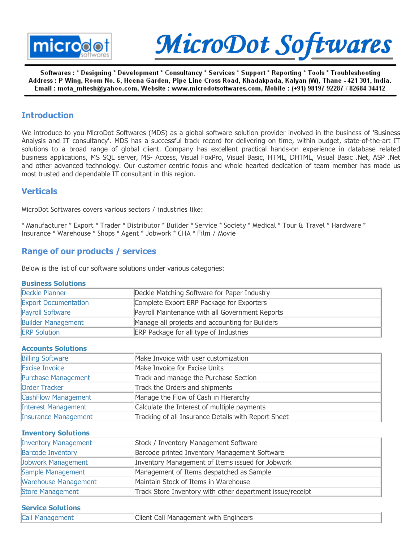



Softwares : \* Designing \* Development \* Consultancy \* Services \* Support \* Reporting \* Tools \* Troubleshooting Address : P Wing, Room No. 6, Heena Garden, Pipe Line Cross Road, Khadakpada, Kalyan (W), Thane - 421 301, India. Email : mota\_mitesh@yahoo.com, Website : www.microdotsoftwares.com, Mobile : (+91) 98197 92287 / 82684 34412

## **Introduction**

We introduce to you MicroDot Softwares (MDS) as a global software solution provider involved in the business of 'Business Analysis and IT consultancy'. MDS has a successful track record for delivering on time, within budget, state-of-the-art IT solutions to a broad range of global client. Company has excellent practical hands-on experience in database related business applications, MS SQL server, MS- Access, Visual FoxPro, Visual Basic, HTML, DHTML, Visual Basic .Net, ASP .Net and other advanced technology. Our customer centric focus and whole hearted dedication of team member has made us most trusted and dependable IT consultant in this region.

## **Verticals**

MicroDot Softwares covers various sectors / industries like:

\* Manufacturer \* Export \* Trader \* Distributor \* Builder \* Service \* Society \* Medical \* Tour & Travel \* Hardware \* Insurance \* Warehouse \* Shops \* Agent \* Jobwork \* CHA \* Film / Movie

# Range of our products / services

Below is the list of our software solutions under various categories:

#### Business Solutions

| Deckle Planner              | Deckle Matching Software for Paper Industry     |
|-----------------------------|-------------------------------------------------|
| <b>Export Documentation</b> | Complete Export ERP Package for Exporters       |
| <b>Payroll Software</b>     | Payroll Maintenance with all Government Reports |
| <b>Builder Management</b>   | Manage all projects and accounting for Builders |
| <b>ERP Solution</b>         | <b>ERP Package for all type of Industries</b>   |

#### Accounts Solutions

| <b>Billing Software</b>     | Make Invoice with user customization                |
|-----------------------------|-----------------------------------------------------|
| Excise Invoice              | Make Invoice for Excise Units                       |
| Purchase Management         | Track and manage the Purchase Section               |
| Order Tracker               | Track the Orders and shipments                      |
| CashFlow Management         | Manage the Flow of Cash in Hierarchy                |
| <b>Interest Management</b>  | Calculate the Interest of multiple payments         |
| <b>Insurance Management</b> | Tracking of all Insurance Details with Report Sheet |

Inventory Solutions

| <b>Inventory Management</b> | Stock / Inventory Management Software                     |
|-----------------------------|-----------------------------------------------------------|
| <b>Barcode Inventory</b>    | Barcode printed Inventory Management Software             |
| Jobwork Management          | Inventory Management of Items issued for Jobwork          |
| Sample Management           | Management of Items despatched as Sample                  |
| <b>Warehouse Management</b> | Maintain Stock of Items in Warehouse                      |
| Store Management            | Track Store Inventory with other department issue/receipt |

#### Service Solutions

| Call Management | Client Call Management with Engineers |
|-----------------|---------------------------------------|
|                 |                                       |